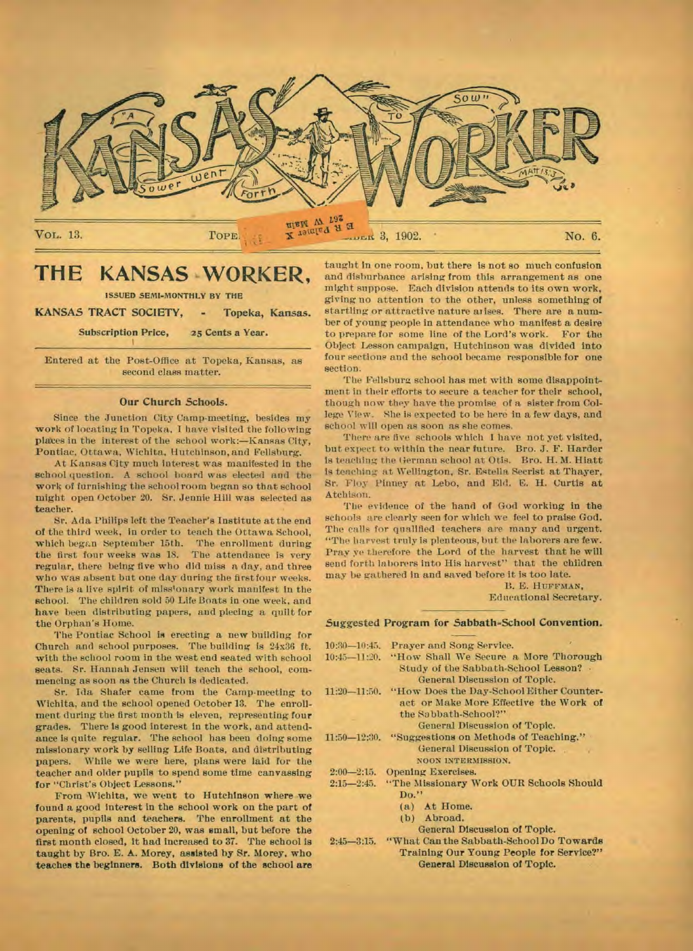

## **THE KANSAS WORKER,**

ISSUED SEMI-MONTHLY BY THE

**KANSAS TRACT SOCIETY, - Topeka, Kansas.** 

Subscription Price, 25 Cents a Year.

Entered at the Post-Office at Topeka, Kansas, as second class matter.

#### **Our Church Schools.**

Since the Junction City Camp-meeting, besides my work of locating in Topeka. I have visited the following plates in the interest of the school work:—Kansas City, Pontiac, Ottawa. Wichita, Hutchinson, and Fellshurg.

At Kansas City much interest was manifested in the school question. A school board was elected and the work of furnishing the schoolroom began so that school might open October 20. Sr. Jennie Hill was selected as teacher.

Sr. Ada Philips left the Teacher's Institute at the end of the third week, in order to teach the Ottawa School, which began September 15th. The enrollment during the first four weeks was 18. The attendance is very regular, there being five who did miss a day, and three who was absent but one day during the first four weeks. There is a live spirit of missionary work manifest in the school. The children sold 50 Life Boats in one week, and have been distributing papers, and piecing a quilt for the Orphan's Home.

The Pontiac School is erecting a new building for Church and school purposes. The building is 24x36 ft. with the school room in the west end seated with school seats. Sr. Hannah Jensen will teach the school, commencing as soon as the Church is dedicated.

Sr. Ida Shafer came from the Camp-meeting to Wichita, and the school opened October 13. The enrollment during the first month is eleven, representing four grades. There is good interest in the work, and attendance is quite regular. The school has been doing some missionary work by selling Life Boats, and distributing papers. While we were here, plans were laid for the teacher and older pupils to spend some time canvassing for "Christ's Object Lessons."

From Wichita, we went to Hutchinson where we found a good interest in the school work on the part of parents, pupils and teachers. The enrollment at the opening of school October 20, was small, but before the first month closed, it had increased to 37. The school is taught by Bro. E. A. Morey, assisted by Sr. Morey, who **teaches the beginners. Both divisions of the school are**  **taught in one** room, but there is not so much confusion and disburbance arising from this arrangement as one might suppose. Each division attends to its own work, giving no attention to the other, unless something **of**  startling or attractive nature arises. There are a number of young people in attendance who manifest a desire to prepare for some line of the Lord's work. For the Object Lesson campaign, Hutchinson was divided into four sections and the school became responsible for one section.

The Fellsburg school has met with some disappointment in their efforts to secure a teacher for their school, though now they have the promise of a sister from College View. She is expected to be here in a few days, and school will open as soon as she comes.

There are five schools which I have not yet visited, but expect to within the near future. Bro. J. F. Harder is teaching the German school at Otis. Bro. H. M. Hiatt is teaching at Wellington, Sr. Egtella Secrist at Thayer, Sr. Floy Pinney at Lebo, and Eld. E. **H.** Curtis at Atchison.

The evidence of the hand of God working in the schools are clearly seen for which we feel to praise God. The calls for qualified teachers are many and urgent. "The harvest truly is plenteous, but the laborers are few. Pray ye therefore the Lord of the harvest that he will send forth laborers into His harvest" that the children may be gathered in and saved before it is too late.

B. E. HUFFMAN,

Educational Secretary.

#### **Suggested Program for Sabbath-School Convention.**

|                  | 10:30-10:45. Prayer and Song Service.              |
|------------------|----------------------------------------------------|
| $10:45 - 11:20.$ | "How Shall We Secure a More Thorough               |
|                  | Study of the Sabbath-School Lesson? .              |
|                  | General Discussion of Topic.                       |
| $11:20 - 11:50.$ | "How Does the Day-School Either Counter-           |
|                  | act or Make More Effective the Work of             |
|                  | the Sabbath-School?"                               |
|                  | General Discussion of Topic.                       |
|                  | 11:50-12:30. "Suggestions on Methods of Teaching." |
|                  | General Discussion of Topic.                       |
|                  | NOON INTERMISSION.                                 |
| $2:00 - 2:15.$   | Opening Exercises.                                 |
| $2:15 - 2:45.$   | "The Missionary Work OUR Schools Should            |
|                  | Do."                                               |
|                  | (a) At Home.                                       |
|                  | (b) Abroad.                                        |
|                  | General Discussion of Topic.                       |
| $2:45 - 3:15.$   | "What Can the Sabbath-School Do Towards            |
|                  | Training Our Young People for Service?"            |
|                  | General Discussion of Topic.                       |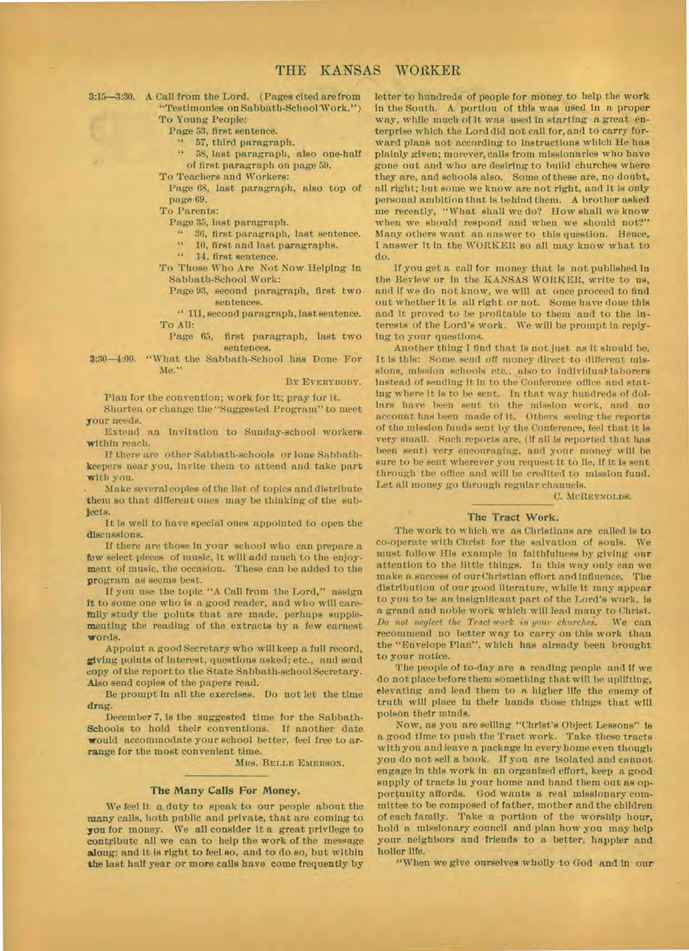3:15-3:30. A Call from the Lord. (Pages cited are from "Testimonies on Sabbath-SchoolWork.")

To Young People:

Page 53, first sentence.

" 57, third paragraph.

- 58, last paragraph, also one-halt of first paragraph on page 59.
- To Teachers and Workers:

Page 68, last paragraph, also top of page 69.

To Parents:

Page 35, last paragraph.

" 30, first paragraph, last sentence.

" 10, first and last paragraphs.

" 14, first sentence.

To Those Who Are Not Now Helping in Sabbath-School Work:

Page 93, second paragraph, first two sentences.

" 111, second paragraph, last sentence. To All:

Page 65, first paragraph, last two sentences.

3:30-4:00. "What the Sabbath-School has Done For Me."

**BY EVERYBODY.** 

Plan for the convention; work for it; pray for it.

Shorten or change the "Suggested Program" to meet your needs.

Extend an invitation to Sunday-school workers within reach.

If there are other Sabbath-schools or lone Sabbathkeepers near you, invite them to attend and take part with you.

. Make several copies of the list of topics and distribute them so that different ones may be thinking of the subjects.

It **is** well to have special ones appointed to open the discussions.

If there are those in your school who can prepare a few select-pieces of music, it will add much to the enjoyment of music, the occasion. These can be added to the program as seems best.

If you **use** the topic "A Call from the Lord," assign it to some one who is a good reader, and who will carefully study the points that are made, perhaps supplementing the reading of the extracts by a few earnest words.

Appoint a good Secretary who will keep a full record, giving points of interest, questions asked; etc., and send copy of the report to the State Sabbath-school Secretary. Also send copies of the papers read.

Be prompt in all the exercises. Do not let the time drag.

December 7, is the suggested time for the Sabbath-Schools to hold their conventions. If another date would accommodate your school better, feel free to arrange for the most convenient time.

**MRS. BELLE EMERSON.** 

#### **The Many Calls For Money.**

We feel it a duty to speak to our people about the many calls, both public and private, that are coming to **you** for money. We all consider it a great privilege to contribute all we can to help the work of the message along; and it is right to feel so, and to do so, but within the last half year or more calls have come frequently by

letter to hundreds of people for money to help the work in the South. A portion of this was used in a proper way, while much of it was used in starting a great enterprise which the Lord did not call for, and to carry forward plans not according to instructions which He has plainly given; morever, calls from missionaries who have gone out and who are desiring to build churches where they are, and schools also. Some of these are, no doubt, all right; but some we know are not right, and it is only personal ambition that is behind them. A brother asked me recently, "What shall we do? How shall we know when we should respond and when we should not?" Many others want an answer to this question. Hence, 1 answer it in the WORKER so all may know what to do.

If you get a call for money that is not published in the Review or in the KANSAS WORKER, write to us, and if we do not know, we will at once proceed to find out whether it is all right or not. Some have done this and it proved to be profitable to them and to the interests of the Lord's work. We will be prompt in replying to your questions.

Another thing I find that is not just as it should be. It is this: Some send off money direct to different missions, mission schools etc., also to individual-laborers instead of sending it in to the Conference office and stating where it is to be sent. In that way hundreds of dollars have been sent to the mission work, and no account has been made of it. Others seeing the reports of the mission funds sent by the Conference, feel that it is very small. Such reports are, (if all is reported that has been sent) very encouraging, and your money will be sure to be sent wherever you request it to lie, if it is sent through the office and will be credited to mission fund. Let all money go through regular channels.

C. **MCREYNOLDS.** 

#### **The Tract Work.**

The work to which we as Christians are called is to co-operate with Christ for the salvation of souls. We must follow His example in faithfulness by giving our attention to the little things. In this way only can we make a success of our Christian effort and influence. The distribution of our good literature, while it may appear to you to be an insignificant part of the Lord's work, is a grand and noble work which will lead many to Christ. *Do not neglect the Tract work in your churches.* We can recommend no better way to carry on this work than the "Envelope Plan", which has already been brought to your notice.

The people of to-day are a reading people and if we do not place before them something that will be uplifting, elevating and lead them to a higher life the enemy of truth will place in their hands those things that will poison their minds.

Now, as you are selling "Christ's Object Lessons" Is a good time to push the Tract work. Take these tracts with you and leave a package in every home even though you do not sell a book. If you are isolated and cannot engage in this work in an organized effort, keep a good supply of tracts in your home and hand them out **as** opportunity affords. God wants a real missionary committee to be composed of father, mother and the children of each family. Take a portion of the worship hour, hold a missionary council and plan how you may help your neighbors and friends to a better, happier and holier life.

"When we give ourselves wholly to God and in **our**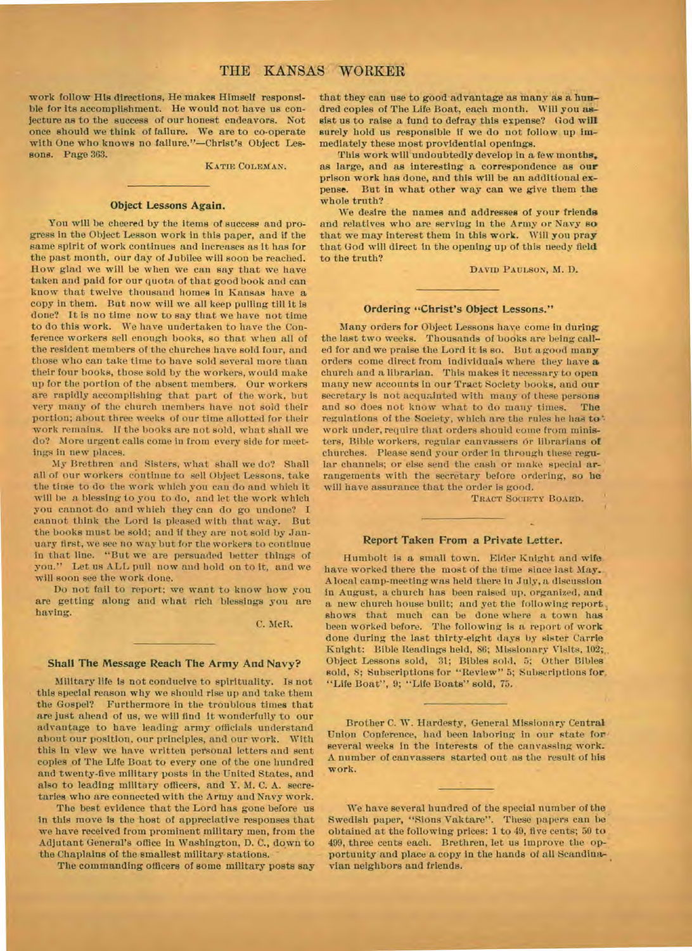work follow His directions, He makes Himself responsible for its accomplishment. He would not have us conjecture as to the success of our honest endeavors. Not once should we think of failure. We are to co-operate with One who knows no failure."—Christ's Object Lessons. Page 363.

**KATIE COLEMAN.** 

#### Object Lessons Again.

You will be cheered by the items of success and progress in the Object Lesson work in this paper, and if the same spirit of work continues and increases as it has for the past month, our day of Jubilee will soon be reached. How glad we will be when we can say that we have taken and paid for our quota of that good book and can know that twelve thousand homes in Kansas have a copy in them. But now will we all keep pulling till it is done? It is no time now to say that we have not time to do this work. We have undertaken to have the Conference workers sell enough books, so that when all of the resident members of the churches have sold four, and those who can take time to have sold several more than their four books, those sold by the workers, would make up for the portion of the absent members. Our workers are rapidly accomplishing that part of the work, but very many of the church members have not sold their portion; about three weeks of our time allotted for their work remains. If the books are not sold, what shall we do? More urgent calls come in from every side for meetings in new places.

My Brethren and Sisters, what shall we do? Shall all of our workers continue to sell Object Lessons, take the time to do the work which you can do and which it will he a blessing to you to do, and let the work which you cannot do and which they can do go undone? I cannot think the Lord is pleased with that way. But the books must be sold; and if they are not sold by January first, we see no way but for the workers to continue in that line. "But we are persuaded better things of you." Let us ALL pull now and hold on to it, and we will soon see the work done.

Do not fail to report; we want to know how you are getting along and what rich blessings you are having.

C. McR.

#### **Shall The Message Reach The Army And Navy?**

Military life is not conducive to spirituality. Is not this special reason why we should rise up and take them the Gospel? Furthermore in the troubious times that are just ahead of us, we will find it wonderfully to our advantage to have leading army officials understand about our position, our principles, and our work. With this in view we have written personal letters and sent copies of The Life Boat to every one of the one hundred and twenty-five military posts in the United States, and also to leading military officers, and Y. M. C. A. secretaries who are connected with the Army and Navy work.

The best evidence that the Lord has gone before us in this move is the host of appreciative responses that we have received from prominent military men, from the Adjutant General's office in Washington, D. C., down to the Chaplains of the smallest military stations.

The commanding officers of some military posts say

that they can use to good advantage as many as a hundred copies of The Life Boat, each month. Will you assist us to raise a fund to defray this expense? God will surely hold us responsible if we do not follow up immediately these most providential openings.

This work will undoubtedly develop in a few months, as large, and as interesting a correspondence as our prison work has done, and this will be an additional expense. But in what other way can we give them the whole truth?

We desire the names and addresses of your friends and relatives who are serving in the Army or Navy so that we may interest them in this work. Will you pray that God will direct in the opening up of this needy field to the truth?

**DAVID PAULSON,** M. D.

#### **Ordering "Christ's Object Lessons."**

Many orders for Object Lessons have come in during the last two weeks. Thousands of books are being called for and we praise the Lord it is so. But a good many orders come direct from individuals where they have a church and a librarian. This makes it necessary to open many new accounts in our Tract Society books, and our secretary is not acquainted with many of these persons and so does not know what to do many times. The regulations of the Society, which are the rules he has to'• work under, require that orders should come from ministers, Bible workers, regular canvassers or librarians of churches. Please send your order in through these regular channels; or else send the cash or make special arrangements with the secretary before ordering, so he will have assurance that the order is good.

**TRACT SOCIETY BOARD.** 

#### **Report Taken From a Private Letter.**

Humbolt is a small town. Elder Knight and wife have worked there the most of the time since last May.. A local camp-meeting was held there in July, a discussion in August, a church has been raised up. organized, and a new church house built; and yet the following report, shows that much can be done where a town has been worked before. The following is a report of work done during the last thirty-eight days by sister Carrie Knight: Bible Readings held, 86; Missionary Visits, 102; Object Lessons sold, 31; Bibles sold, 5; Other Bibles sold, 8; Subscriptions for "Review" 5; Subscriptions for, "Life Boat", 9; "Life Boats" sold, 75.

Brother C. W. Hardesty, General Missionary Central Union Conference, had been laboring in our state for several weeks in the interests of the canvassing work. A number of canvassers started out as the result of his work.

We have several hundred of the special number of the Swedish paper, "Sions Vaktare". These papers can be obtained at the following prices: 1 to 49, five cents; 50 to 499, three cents each. Brethren, let us improve the opportunity and place a copy in the hands of all Scandinavian neighbors and friends.